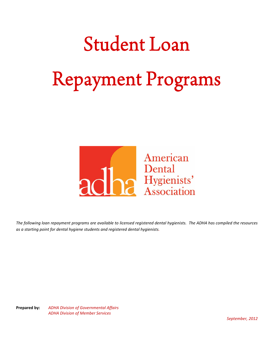

*The following loan repayment programs are available to licensed registered dental hygienists. The ADHA has compiled the resources as a starting point for dental hygiene students and registered dental hygienists.*

**Prepared by:** *ADHA Division of Governmental Affairs ADHA Division of Member Services*

*September, 2012*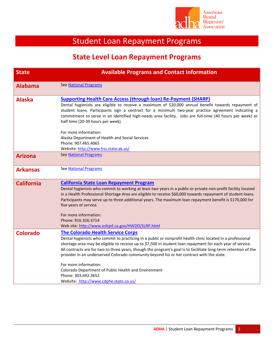

| <b>State</b>      | <b>Available Programs and Contact Information</b>                                                                                                                                                                                                                                                                                                                                                                                                                                                                                                                                                                                      |
|-------------------|----------------------------------------------------------------------------------------------------------------------------------------------------------------------------------------------------------------------------------------------------------------------------------------------------------------------------------------------------------------------------------------------------------------------------------------------------------------------------------------------------------------------------------------------------------------------------------------------------------------------------------------|
| <b>Alabama</b>    | <b>See National Programs</b>                                                                                                                                                                                                                                                                                                                                                                                                                                                                                                                                                                                                           |
| <b>Alaska</b>     | <b>Supporting Health Care Access (through loan) Re-Payment (SHARP)</b><br>Dental hygienists are eligible to receive a maximum of \$20,000 annual benefit towards repayment of<br>student loans. Participants sign a contract for a minimum two-year practice agreement indicating a<br>commitment to serve in an identified high-needs area facility. Jobs are full-time (40 hours per week) or<br>half-time (20-39 hours per week).                                                                                                                                                                                                   |
|                   | For more information:<br>Alaska Department of Health and Social Services<br>Phone: 907.465.4065<br>Website: http://www.hss.state.ak.us/                                                                                                                                                                                                                                                                                                                                                                                                                                                                                                |
| <b>Arizona</b>    | <b>See National Programs</b>                                                                                                                                                                                                                                                                                                                                                                                                                                                                                                                                                                                                           |
| <b>Arkansas</b>   | <b>See National Programs</b>                                                                                                                                                                                                                                                                                                                                                                                                                                                                                                                                                                                                           |
| <b>California</b> | <b>California State Loan Repayment Program</b><br>Dental hygienists who commit to working at least two years in a public or private non-profit facility located<br>in a Health Professional Shortage Area are eligible to receive \$60,000 towards repayment of student loans.<br>Participants may serve up to three additional years. The maximum loan repayment benefit is \$170,000 for<br>five years of service.<br>For more information:<br>Phone: 916.326.3714<br>Web site: http://www.oshpd.ca.gov/HWDD/SLRP.html                                                                                                               |
| <b>Colorado</b>   | <b>The Colorado Health Service Corps</b><br>Dental hygienists who commit to practicing in a public or nonprofit health clinic located in a professional<br>shortage area may be eligible to receive up to \$7,500 in student loan repayment for each year of service.<br>All contracts are for two to three years, though the program's goal is to facilitate long-term retention of the<br>provider in an underserved Colorado community beyond his or her contract with the state.<br>For more information:<br>Colorado Department of Public Health and Environment<br>Phone: 303.692.3652<br>Website: http://www.cdphe.state.co.us/ |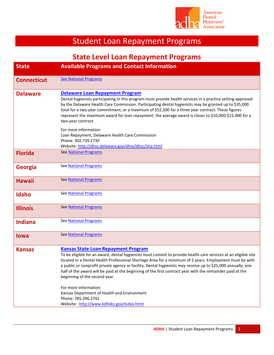

| <b>Available Programs and Contact Information</b><br><b>See National Programs</b><br><b>Delaware Loan Repayment Program</b><br>Dental hygienists participating in this program must provide health services in a practice setting approved<br>by the Delaware Health Care Commission. Participating dental hygienists may be granted up to \$35,000<br>total for a two-year commitment, or a maximum of \$52,500 for a three year contract. These figures<br>represent the maximum award for loan repayment; the average award is closer to \$10,000-\$15,000 for a<br>two-year contract.<br>For more information:<br>Loan Repayment, Delaware Health Care Commission<br>Phone: 302.739.2730<br>Website: http://dhss.delaware.gov/dhss/dhcc/slrp.html<br><b>See National Programs</b> |
|---------------------------------------------------------------------------------------------------------------------------------------------------------------------------------------------------------------------------------------------------------------------------------------------------------------------------------------------------------------------------------------------------------------------------------------------------------------------------------------------------------------------------------------------------------------------------------------------------------------------------------------------------------------------------------------------------------------------------------------------------------------------------------------|
|                                                                                                                                                                                                                                                                                                                                                                                                                                                                                                                                                                                                                                                                                                                                                                                       |
|                                                                                                                                                                                                                                                                                                                                                                                                                                                                                                                                                                                                                                                                                                                                                                                       |
|                                                                                                                                                                                                                                                                                                                                                                                                                                                                                                                                                                                                                                                                                                                                                                                       |
|                                                                                                                                                                                                                                                                                                                                                                                                                                                                                                                                                                                                                                                                                                                                                                                       |
|                                                                                                                                                                                                                                                                                                                                                                                                                                                                                                                                                                                                                                                                                                                                                                                       |
| See National Programs                                                                                                                                                                                                                                                                                                                                                                                                                                                                                                                                                                                                                                                                                                                                                                 |
| <b>See National Programs</b>                                                                                                                                                                                                                                                                                                                                                                                                                                                                                                                                                                                                                                                                                                                                                          |
| See National Programs                                                                                                                                                                                                                                                                                                                                                                                                                                                                                                                                                                                                                                                                                                                                                                 |
| <b>See National Programs</b>                                                                                                                                                                                                                                                                                                                                                                                                                                                                                                                                                                                                                                                                                                                                                          |
| See National Programs                                                                                                                                                                                                                                                                                                                                                                                                                                                                                                                                                                                                                                                                                                                                                                 |
| <b>See National Programs</b>                                                                                                                                                                                                                                                                                                                                                                                                                                                                                                                                                                                                                                                                                                                                                          |
| <b>Kansas State Loan Repayment Program</b><br>To be eligible for an award, dental hygienists must commit to provide health care services at an eligible site<br>located in a Dental Health Professional Shortage Area for a minimum of 2 years. Employment must be with<br>a public or nonprofit private agency or facility. Dental hygienists may receive up to \$25,000 annually; one<br>half of the award will be paid at the beginning of the first contract year with the remainder paid at the<br>beginning of the second year.<br>For more information:<br>Kansas Department of Health and Environment<br>Phone: 785.296.2742<br>Website: http://www.kdheks.gov/index.html                                                                                                     |
|                                                                                                                                                                                                                                                                                                                                                                                                                                                                                                                                                                                                                                                                                                                                                                                       |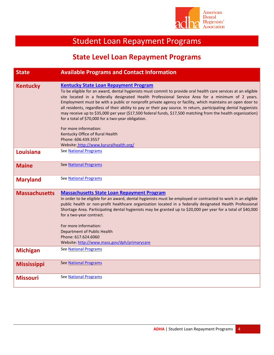

| <b>State</b>         | <b>Available Programs and Contact Information</b>                                                                                                                                                                                                                                                                                                                                                                                                                                                                                                                                                                                                                                                    |
|----------------------|------------------------------------------------------------------------------------------------------------------------------------------------------------------------------------------------------------------------------------------------------------------------------------------------------------------------------------------------------------------------------------------------------------------------------------------------------------------------------------------------------------------------------------------------------------------------------------------------------------------------------------------------------------------------------------------------------|
|                      |                                                                                                                                                                                                                                                                                                                                                                                                                                                                                                                                                                                                                                                                                                      |
| <b>Kentucky</b>      | <b>Kentucky State Loan Repayment Program</b><br>To be eligible for an award, dental hygienists must commit to provide oral health care services at an eligible<br>site located in a federally designated Health Professional Service Area for a minimum of 2 years.<br>Employment must be with a public or nonprofit private agency or facility, which maintains an open door to<br>all residents, regardless of their ability to pay or their pay source. In return, participating dental hygienists<br>may receive up to \$35,000 per year (\$17,500 federal funds, \$17,500 matching from the health organization)<br>for a total of \$70,000 for a two-year obligation.<br>For more information: |
|                      | Kentucky Office of Rural Health                                                                                                                                                                                                                                                                                                                                                                                                                                                                                                                                                                                                                                                                      |
|                      | Phone: 606.439.3557                                                                                                                                                                                                                                                                                                                                                                                                                                                                                                                                                                                                                                                                                  |
|                      | Website: http://www.kyruralhealth.org/                                                                                                                                                                                                                                                                                                                                                                                                                                                                                                                                                                                                                                                               |
| Louisiana            | See National Programs                                                                                                                                                                                                                                                                                                                                                                                                                                                                                                                                                                                                                                                                                |
| <b>Maine</b>         | See National Programs                                                                                                                                                                                                                                                                                                                                                                                                                                                                                                                                                                                                                                                                                |
| <b>Maryland</b>      | See National Programs                                                                                                                                                                                                                                                                                                                                                                                                                                                                                                                                                                                                                                                                                |
| <b>Massachusetts</b> | <b>Massachusetts State Loan Repayment Program</b><br>In order to be eligible for an award, dental hygienists must be employed or contracted to work in an eligible<br>public health or non-profit healthcare organization located in a federally designated Health Professional<br>Shortage Area. Participating dental hygienists may be granted up to \$20,000 per year for a total of \$40,000<br>for a two-year contract.<br>For more information:<br>Department of Public Health<br>Phone: 617.624.6060<br>Website: http://www.mass.gov/dph/primarycare                                                                                                                                          |
| <b>Michigan</b>      | See National Programs                                                                                                                                                                                                                                                                                                                                                                                                                                                                                                                                                                                                                                                                                |
| <b>Mississippi</b>   | <b>See National Programs</b>                                                                                                                                                                                                                                                                                                                                                                                                                                                                                                                                                                                                                                                                         |
| <b>Missouri</b>      | <b>See National Programs</b>                                                                                                                                                                                                                                                                                                                                                                                                                                                                                                                                                                                                                                                                         |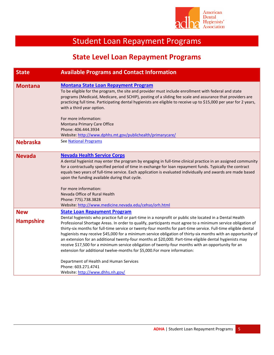

| <b>State</b>                   | <b>Available Programs and Contact Information</b>                                                                                                                                                                                                                                                                                                                                                                                                                                                                                                                                                                                                                                                                                                                                                                                                                                                     |
|--------------------------------|-------------------------------------------------------------------------------------------------------------------------------------------------------------------------------------------------------------------------------------------------------------------------------------------------------------------------------------------------------------------------------------------------------------------------------------------------------------------------------------------------------------------------------------------------------------------------------------------------------------------------------------------------------------------------------------------------------------------------------------------------------------------------------------------------------------------------------------------------------------------------------------------------------|
| <b>Montana</b>                 | <b>Montana State Loan Repayment Program</b><br>To be eligible for the program, the site and provider must include enrollment with federal and state<br>programs (Medicaid, Medicare, and SCHIP), posting of a sliding fee scale and assurance that providers are<br>practicing full time. Participating dental hygienists are eligible to receive up to \$15,000 per year for 2 years,<br>with a third year option.                                                                                                                                                                                                                                                                                                                                                                                                                                                                                   |
|                                | For more information:<br>Montana Primary Care Office<br>Phone: 406.444.3934<br>Website: http://www.dphhs.mt.gov/publichealth/primarycare/                                                                                                                                                                                                                                                                                                                                                                                                                                                                                                                                                                                                                                                                                                                                                             |
| <b>Nebraska</b>                | See National Programs                                                                                                                                                                                                                                                                                                                                                                                                                                                                                                                                                                                                                                                                                                                                                                                                                                                                                 |
| <b>Nevada</b>                  | <b>Nevada Health Service Corps</b><br>A dental hygienist may enter the program by engaging in full-time clinical practice in an assigned community<br>for a contractually specified period of time in exchange for loan repayment funds. Typically the contract<br>equals two years of full-time service. Each application is evaluated individually and awards are made based<br>upon the funding available during that cycle.<br>For more information:<br>Nevada Office of Rural Health<br>Phone: 775).738.3828<br>Website: http://www.medicine.nevada.edu/cehso/orh.html                                                                                                                                                                                                                                                                                                                           |
| <b>New</b><br><b>Hampshire</b> | <b>State Loan Repayment Program</b><br>Dental hygienists who practice full or part-time in a nonprofit or public site located in a Dental Health<br>Professional Shortage Areas. In order to qualify, participants must agree to a minimum service obligation of<br>thirty-six months for full-time service or twenty-four months for part-time service. Full-time eligible dental<br>hygienists may receive \$45,000 for a minimum service obligation of thirty-six months with an opportunity of<br>an extension for an additional twenty-four months at \$20,000. Part-time eligible dental hygienists may<br>receive \$17,500 for a minimum service obligation of twenty-four months with an opportunity for an<br>extension for additional twelve-months for \$5,000.For more information:<br>Department of Health and Human Services<br>Phone: 603.271.4741<br>Website: http://www.dhhs.nh.gov/ |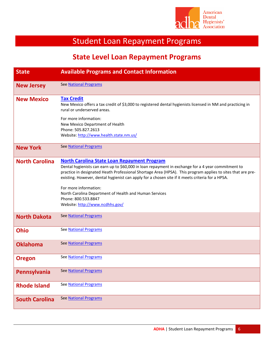

| <b>State</b>          | <b>Available Programs and Contact Information</b>                                                                                                                                                                                                                                                                                                                                                                                                                                                                        |
|-----------------------|--------------------------------------------------------------------------------------------------------------------------------------------------------------------------------------------------------------------------------------------------------------------------------------------------------------------------------------------------------------------------------------------------------------------------------------------------------------------------------------------------------------------------|
| <b>New Jersey</b>     | <b>See National Programs</b>                                                                                                                                                                                                                                                                                                                                                                                                                                                                                             |
| <b>New Mexico</b>     | <b>Tax Credit</b><br>New Mexico offers a tax credit of \$3,000 to registered dental hygienists licensed in NM and practicing in<br>rural or underserved areas.<br>For more information:<br>New Mexico Department of Health<br>Phone: 505.827.2613<br>Website: http://www.health.state.nm.us/                                                                                                                                                                                                                             |
| <b>New York</b>       | <b>See National Programs</b>                                                                                                                                                                                                                                                                                                                                                                                                                                                                                             |
| <b>North Carolina</b> | <b>North Carolina State Loan Repayment Program</b><br>Dental hygienists can earn up to \$60,000 in loan repayment in exchange for a 4 year commitment to<br>practice in designated Heath Professional Shortage Area (HPSA). This program applies to sites that are pre-<br>existing. However, dental hygienist can apply for a chosen site if it meets criteria for a HPSA.<br>For more information:<br>North Carolina Department of Health and Human Services<br>Phone: 800.533.8847<br>Website: http://www.ncdhhs.gov/ |
| <b>North Dakota</b>   | See National Programs                                                                                                                                                                                                                                                                                                                                                                                                                                                                                                    |
| <b>Ohio</b>           | See National Programs                                                                                                                                                                                                                                                                                                                                                                                                                                                                                                    |
| <b>Oklahoma</b>       | <b>See National Programs</b>                                                                                                                                                                                                                                                                                                                                                                                                                                                                                             |
| <b>Oregon</b>         | See National Programs                                                                                                                                                                                                                                                                                                                                                                                                                                                                                                    |
| Pennsylvania          | See National Programs                                                                                                                                                                                                                                                                                                                                                                                                                                                                                                    |
| <b>Rhode Island</b>   | See National Programs                                                                                                                                                                                                                                                                                                                                                                                                                                                                                                    |
| <b>South Carolina</b> | See National Programs                                                                                                                                                                                                                                                                                                                                                                                                                                                                                                    |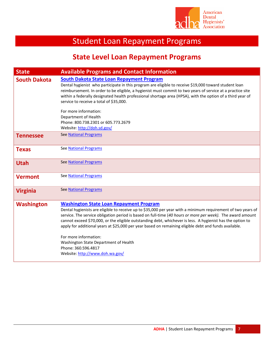

| <b>State</b>        | <b>Available Programs and Contact Information</b>                                                                                                                                                                                                                                                                                                                                                                                                                                                                                                                                                                               |
|---------------------|---------------------------------------------------------------------------------------------------------------------------------------------------------------------------------------------------------------------------------------------------------------------------------------------------------------------------------------------------------------------------------------------------------------------------------------------------------------------------------------------------------------------------------------------------------------------------------------------------------------------------------|
| <b>South Dakota</b> | <b>South Dakota State Loan Repayment Program</b><br>Dental hygienist who participate in this program are eligible to receive \$19,000 toward student loan<br>reimbursement. In order to be eligible, a hygienist must commit to two years of service at a practice site<br>within a federally designated health professional shortage area (HPSA), with the option of a third year of<br>service to receive a total of \$35,000.<br>For more information:<br>Department of Health<br>Phone: 800.738.2301 or 605.773.2679<br>Website: http://doh.sd.gov/                                                                         |
| <b>Tennessee</b>    | See National Programs                                                                                                                                                                                                                                                                                                                                                                                                                                                                                                                                                                                                           |
| <b>Texas</b>        | See National Programs                                                                                                                                                                                                                                                                                                                                                                                                                                                                                                                                                                                                           |
| <b>Utah</b>         | <b>See National Programs</b>                                                                                                                                                                                                                                                                                                                                                                                                                                                                                                                                                                                                    |
| <b>Vermont</b>      | See National Programs                                                                                                                                                                                                                                                                                                                                                                                                                                                                                                                                                                                                           |
| <b>Virginia</b>     | <b>See National Programs</b>                                                                                                                                                                                                                                                                                                                                                                                                                                                                                                                                                                                                    |
| <b>Washington</b>   | <b>Washington State Loan Repayment Program</b><br>Dental hygienists are eligible to receive up to \$35,000 per year with a minimum requirement of two years of<br>service. The service obligation period is based on full-time (40 hours or more per week). The award amount<br>cannot exceed \$70,000, or the eligible outstanding debt, whichever is less. A hygienist has the option to<br>apply for additional years at \$25,000 per year based on remaining eligible debt and funds available.<br>For more information:<br>Washington State Department of Health<br>Phone: 360.596.4817<br>Website: http://www.doh.wa.gov/ |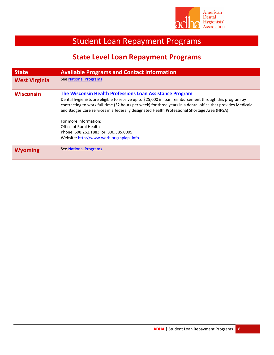

| <b>State</b>         | <b>Available Programs and Contact Information</b>                                                                                                                                                                                                                                                                                                                                                                                                                                                                     |
|----------------------|-----------------------------------------------------------------------------------------------------------------------------------------------------------------------------------------------------------------------------------------------------------------------------------------------------------------------------------------------------------------------------------------------------------------------------------------------------------------------------------------------------------------------|
| <b>West Virginia</b> | <b>See National Programs</b>                                                                                                                                                                                                                                                                                                                                                                                                                                                                                          |
| <b>Wisconsin</b>     | The Wisconsin Health Professions Loan Assistance Program<br>Dental hygienists are eligible to receive up to \$25,000 in loan reimbursement through this program by<br>contracting to work full-time (32 hours per week) for three years in a dental office that provides Medicaid<br>and Badger Care services in a federally designated Health Professional Shortage Area (HPSA)<br>For more information:<br>Office of Rural Health<br>Phone: 608.261.1883 or 800.385.0005<br>Website: http://www.worh.org/hplap info |
| <b>Wyoming</b>       | <b>See National Programs</b>                                                                                                                                                                                                                                                                                                                                                                                                                                                                                          |